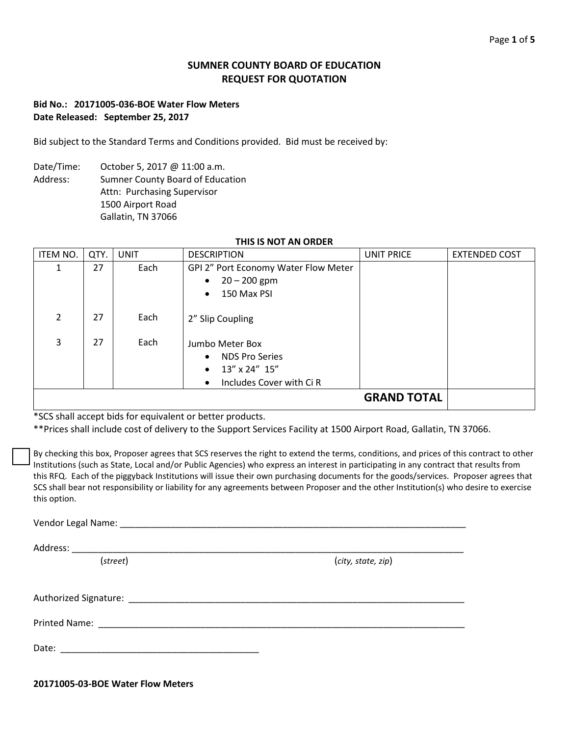# **SUMNER COUNTY BOARD OF EDUCATION REQUEST FOR QUOTATION**

# **Bid No.: 20171005-036-BOE Water Flow Meters Date Released: September 25, 2017**

Bid subject to the Standard Terms and Conditions provided. Bid must be received by:

Date/Time: October 5, 2017 @ 11:00 a.m. Address: Sumner County Board of Education Attn: Purchasing Supervisor 1500 Airport Road Gallatin, TN 37066

| ITEM NO.       | QTY. | <b>UNIT</b> | <b>DESCRIPTION</b>                    | UNIT PRICE         | <b>EXTENDED COST</b> |
|----------------|------|-------------|---------------------------------------|--------------------|----------------------|
| 1              | 27   | Each        | GPI 2" Port Economy Water Flow Meter  |                    |                      |
|                |      |             | $20 - 200$ gpm<br>$\bullet$           |                    |                      |
|                |      |             | 150 Max PSI<br>$\bullet$              |                    |                      |
|                |      |             |                                       |                    |                      |
| $\overline{2}$ | 27   | Each        | 2" Slip Coupling                      |                    |                      |
|                |      |             |                                       |                    |                      |
| 3              | 27   | Each        | Jumbo Meter Box                       |                    |                      |
|                |      |             | <b>NDS Pro Series</b><br>$\bullet$    |                    |                      |
|                |      |             | $13''$ x 24" $15''$<br>$\bullet$      |                    |                      |
|                |      |             | Includes Cover with Ci R<br>$\bullet$ |                    |                      |
|                |      |             |                                       | <b>GRAND TOTAL</b> |                      |

\*SCS shall accept bids for equivalent or better products.

\*\*Prices shall include cost of delivery to the Support Services Facility at 1500 Airport Road, Gallatin, TN 37066.

By checking this box, Proposer agrees that SCS reserves the right to extend the terms, conditions, and prices of this contract to other Institutions (such as State, Local and/or Public Agencies) who express an interest in participating in any contract that results from this RFQ. Each of the piggyback Institutions will issue their own purchasing documents for the goods/services. Proposer agrees that SCS shall bear not responsibility or liability for any agreements between Proposer and the other Institution(s) who desire to exercise this option.

Vendor Legal Name:  $\Box$ 

Address: \_\_\_\_\_\_\_\_\_\_\_\_\_\_\_\_\_\_\_\_\_\_\_\_\_\_\_\_\_\_\_\_\_\_\_\_\_\_\_\_\_\_\_\_\_\_\_\_\_\_\_\_\_\_\_\_\_\_\_\_\_\_\_\_\_\_\_\_\_\_\_\_\_\_\_\_\_

(*street*) (*city, state, zip*)

Authorized Signature: \_\_\_\_\_\_\_\_\_\_\_\_\_\_\_\_\_\_\_\_\_\_\_\_\_\_\_\_\_\_\_\_\_\_\_\_\_\_\_\_\_\_\_\_\_\_\_\_\_\_\_\_\_\_\_\_\_\_\_\_\_\_\_\_\_\_

Printed Name: \_\_\_\_\_\_\_\_\_\_\_\_\_\_\_\_\_\_\_\_\_\_\_\_\_\_\_\_\_\_\_\_\_\_\_\_\_\_\_\_\_\_\_\_\_\_\_\_\_\_\_\_\_\_\_\_\_\_\_\_\_\_\_\_\_\_\_\_\_\_\_\_

Date:

**20171005-03-BOE Water Flow Meters**

## **THIS IS NOT AN ORDER**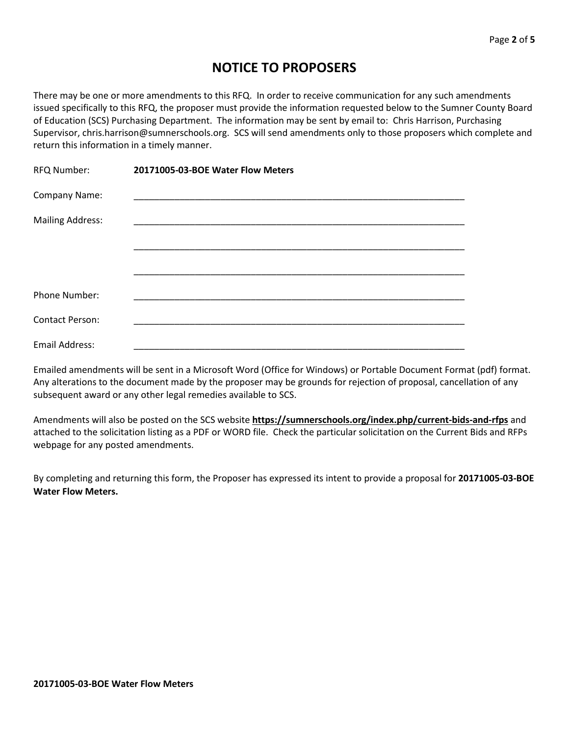# **NOTICE TO PROPOSERS**

There may be one or more amendments to this RFQ. In order to receive communication for any such amendments issued specifically to this RFQ, the proposer must provide the information requested below to the Sumner County Board of Education (SCS) Purchasing Department. The information may be sent by email to: Chris Harrison, Purchasing Supervisor, chris.harrison@sumnerschools.org. SCS will send amendments only to those proposers which complete and return this information in a timely manner.

| RFQ Number:             | 20171005-03-BOE Water Flow Meters |  |
|-------------------------|-----------------------------------|--|
| Company Name:           |                                   |  |
| <b>Mailing Address:</b> |                                   |  |
|                         |                                   |  |
|                         |                                   |  |
| Phone Number:           |                                   |  |
| <b>Contact Person:</b>  |                                   |  |
| Email Address:          |                                   |  |

Emailed amendments will be sent in a Microsoft Word (Office for Windows) or Portable Document Format (pdf) format. Any alterations to the document made by the proposer may be grounds for rejection of proposal, cancellation of any subsequent award or any other legal remedies available to SCS.

Amendments will also be posted on the SCS website **https://sumnerschools.org/index.php/current-bids-and-rfps** and attached to the solicitation listing as a PDF or WORD file. Check the particular solicitation on the Current Bids and RFPs webpage for any posted amendments.

By completing and returning this form, the Proposer has expressed its intent to provide a proposal for **20171005-03-BOE Water Flow Meters.**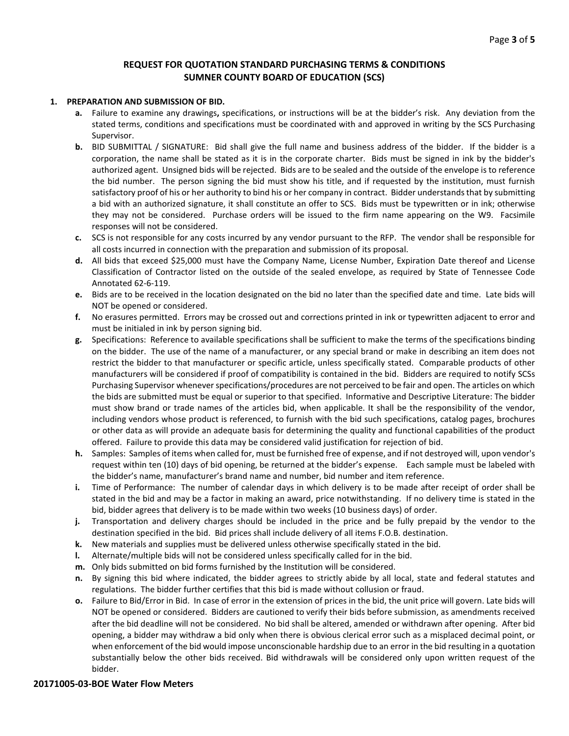## **REQUEST FOR QUOTATION STANDARD PURCHASING TERMS & CONDITIONS SUMNER COUNTY BOARD OF EDUCATION (SCS)**

#### **1. PREPARATION AND SUBMISSION OF BID.**

- **a.** Failure to examine any drawings**,** specifications, or instructions will be at the bidder's risk. Any deviation from the stated terms, conditions and specifications must be coordinated with and approved in writing by the SCS Purchasing Supervisor.
- **b.** BID SUBMITTAL / SIGNATURE: Bid shall give the full name and business address of the bidder. If the bidder is a corporation, the name shall be stated as it is in the corporate charter. Bids must be signed in ink by the bidder's authorized agent. Unsigned bids will be rejected. Bids are to be sealed and the outside of the envelope is to reference the bid number. The person signing the bid must show his title, and if requested by the institution, must furnish satisfactory proof of his or her authority to bind his or her company in contract. Bidder understands that by submitting a bid with an authorized signature, it shall constitute an offer to SCS. Bids must be typewritten or in ink; otherwise they may not be considered. Purchase orders will be issued to the firm name appearing on the W9. Facsimile responses will not be considered.
- **c.** SCS is not responsible for any costs incurred by any vendor pursuant to the RFP. The vendor shall be responsible for all costs incurred in connection with the preparation and submission of its proposal.
- **d.** All bids that exceed \$25,000 must have the Company Name, License Number, Expiration Date thereof and License Classification of Contractor listed on the outside of the sealed envelope, as required by State of Tennessee Code Annotated 62-6-119.
- **e.** Bids are to be received in the location designated on the bid no later than the specified date and time. Late bids will NOT be opened or considered.
- **f.** No erasures permitted. Errors may be crossed out and corrections printed in ink or typewritten adjacent to error and must be initialed in ink by person signing bid.
- **g.** Specifications: Reference to available specifications shall be sufficient to make the terms of the specifications binding on the bidder. The use of the name of a manufacturer, or any special brand or make in describing an item does not restrict the bidder to that manufacturer or specific article, unless specifically stated. Comparable products of other manufacturers will be considered if proof of compatibility is contained in the bid. Bidders are required to notify SCSs Purchasing Supervisor whenever specifications/procedures are not perceived to be fair and open. The articles on which the bids are submitted must be equal or superior to that specified. Informative and Descriptive Literature: The bidder must show brand or trade names of the articles bid, when applicable. It shall be the responsibility of the vendor, including vendors whose product is referenced, to furnish with the bid such specifications, catalog pages, brochures or other data as will provide an adequate basis for determining the quality and functional capabilities of the product offered. Failure to provide this data may be considered valid justification for rejection of bid.
- **h.** Samples: Samples of items when called for, must be furnished free of expense, and if not destroyed will, upon vendor's request within ten (10) days of bid opening, be returned at the bidder's expense. Each sample must be labeled with the bidder's name, manufacturer's brand name and number, bid number and item reference.
- **i.** Time of Performance: The number of calendar days in which delivery is to be made after receipt of order shall be stated in the bid and may be a factor in making an award, price notwithstanding. If no delivery time is stated in the bid, bidder agrees that delivery is to be made within two weeks (10 business days) of order.
- **j.** Transportation and delivery charges should be included in the price and be fully prepaid by the vendor to the destination specified in the bid. Bid prices shall include delivery of all items F.O.B. destination.
- **k.** New materials and supplies must be delivered unless otherwise specifically stated in the bid.
- **l.** Alternate/multiple bids will not be considered unless specifically called for in the bid.
- **m.** Only bids submitted on bid forms furnished by the Institution will be considered.
- **n.** By signing this bid where indicated, the bidder agrees to strictly abide by all local, state and federal statutes and regulations. The bidder further certifies that this bid is made without collusion or fraud.
- **o.** Failure to Bid/Error in Bid. In case of error in the extension of prices in the bid, the unit price will govern. Late bids will NOT be opened or considered. Bidders are cautioned to verify their bids before submission, as amendments received after the bid deadline will not be considered. No bid shall be altered, amended or withdrawn after opening. After bid opening, a bidder may withdraw a bid only when there is obvious clerical error such as a misplaced decimal point, or when enforcement of the bid would impose unconscionable hardship due to an error in the bid resulting in a quotation substantially below the other bids received. Bid withdrawals will be considered only upon written request of the bidder.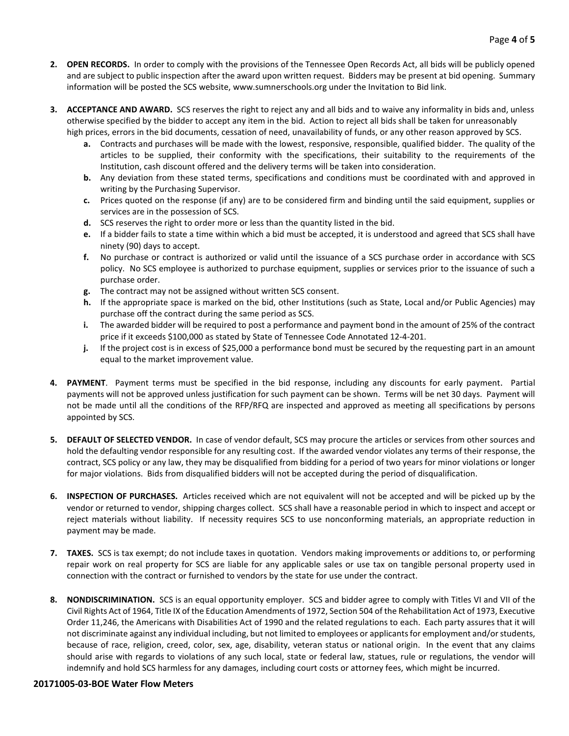- **2. OPEN RECORDS.** In order to comply with the provisions of the Tennessee Open Records Act, all bids will be publicly opened and are subject to public inspection after the award upon written request. Bidders may be present at bid opening. Summary information will be posted the SCS website, www.sumnerschools.org under the Invitation to Bid link.
- **3. ACCEPTANCE AND AWARD.** SCS reserves the right to reject any and all bids and to waive any informality in bids and, unless otherwise specified by the bidder to accept any item in the bid. Action to reject all bids shall be taken for unreasonably high prices, errors in the bid documents, cessation of need, unavailability of funds, or any other reason approved by SCS.
	- **a.** Contracts and purchases will be made with the lowest, responsive, responsible, qualified bidder. The quality of the articles to be supplied, their conformity with the specifications, their suitability to the requirements of the Institution, cash discount offered and the delivery terms will be taken into consideration.
	- **b.** Any deviation from these stated terms, specifications and conditions must be coordinated with and approved in writing by the Purchasing Supervisor.
	- **c.** Prices quoted on the response (if any) are to be considered firm and binding until the said equipment, supplies or services are in the possession of SCS.
	- **d.** SCS reserves the right to order more or less than the quantity listed in the bid.
	- **e.** If a bidder fails to state a time within which a bid must be accepted, it is understood and agreed that SCS shall have ninety (90) days to accept.
	- **f.** No purchase or contract is authorized or valid until the issuance of a SCS purchase order in accordance with SCS policy. No SCS employee is authorized to purchase equipment, supplies or services prior to the issuance of such a purchase order.
	- **g.** The contract may not be assigned without written SCS consent.
	- **h.** If the appropriate space is marked on the bid, other Institutions (such as State, Local and/or Public Agencies) may purchase off the contract during the same period as SCS.
	- **i.** The awarded bidder will be required to post a performance and payment bond in the amount of 25% of the contract price if it exceeds \$100,000 as stated by State of Tennessee Code Annotated 12-4-201.
	- **j.** If the project cost is in excess of \$25,000 a performance bond must be secured by the requesting part in an amount equal to the market improvement value.
- **4. PAYMENT**. Payment terms must be specified in the bid response, including any discounts for early payment. Partial payments will not be approved unless justification for such payment can be shown. Terms will be net 30 days. Payment will not be made until all the conditions of the RFP/RFQ are inspected and approved as meeting all specifications by persons appointed by SCS.
- **5. DEFAULT OF SELECTED VENDOR.** In case of vendor default, SCS may procure the articles or services from other sources and hold the defaulting vendor responsible for any resulting cost. If the awarded vendor violates any terms of their response, the contract, SCS policy or any law, they may be disqualified from bidding for a period of two years for minor violations or longer for major violations. Bids from disqualified bidders will not be accepted during the period of disqualification.
- **6. INSPECTION OF PURCHASES.** Articles received which are not equivalent will not be accepted and will be picked up by the vendor or returned to vendor, shipping charges collect. SCS shall have a reasonable period in which to inspect and accept or reject materials without liability. If necessity requires SCS to use nonconforming materials, an appropriate reduction in payment may be made.
- **7. TAXES.** SCS is tax exempt; do not include taxes in quotation. Vendors making improvements or additions to, or performing repair work on real property for SCS are liable for any applicable sales or use tax on tangible personal property used in connection with the contract or furnished to vendors by the state for use under the contract.
- **8. NONDISCRIMINATION.** SCS is an equal opportunity employer. SCS and bidder agree to comply with Titles VI and VII of the Civil Rights Act of 1964, Title IX of the Education Amendments of 1972, Section 504 of the Rehabilitation Act of 1973, Executive Order 11,246, the Americans with Disabilities Act of 1990 and the related regulations to each. Each party assures that it will not discriminate against any individual including, but not limited to employees or applicants for employment and/or students, because of race, religion, creed, color, sex, age, disability, veteran status or national origin. In the event that any claims should arise with regards to violations of any such local, state or federal law, statues, rule or regulations, the vendor will indemnify and hold SCS harmless for any damages, including court costs or attorney fees, which might be incurred.

### **20171005-03-BOE Water Flow Meters**